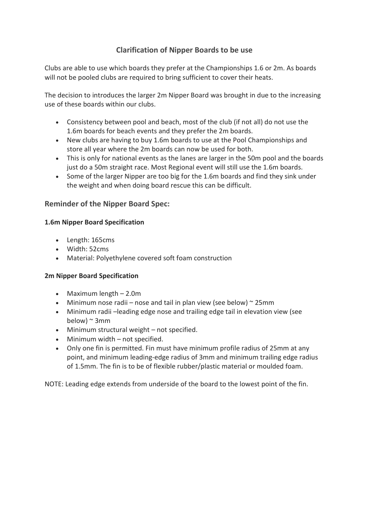## **Clarification of Nipper Boards to be use**

Clubs are able to use which boards they prefer at the Championships 1.6 or 2m. As boards will not be pooled clubs are required to bring sufficient to cover their heats.

The decision to introduces the larger 2m Nipper Board was brought in due to the increasing use of these boards within our clubs.

- Consistency between pool and beach, most of the club (if not all) do not use the 1.6m boards for beach events and they prefer the 2m boards.
- New clubs are having to buy 1.6m boards to use at the Pool Championships and store all year where the 2m boards can now be used for both.
- This is only for national events as the lanes are larger in the 50m pool and the boards just do a 50m straight race. Most Regional event will still use the 1.6m boards.
- Some of the larger Nipper are too big for the 1.6m boards and find they sink under the weight and when doing board rescue this can be difficult.

## **Reminder of the Nipper Board Spec:**

## **1.6m Nipper Board Specification**

- Length: 165cms
- Width: 52cms
- Material: Polyethylene covered soft foam construction

## **2m Nipper Board Specification**

- Maximum length 2.0m
- Minimum nose radii nose and tail in plan view (see below)  $\sim$  25mm
- Minimum radii –leading edge nose and trailing edge tail in elevation view (see below)  $\sim$  3mm
- Minimum structural weight not specified.
- Minimum width not specified.
- Only one fin is permitted. Fin must have minimum profile radius of 25mm at any point, and minimum leading-edge radius of 3mm and minimum trailing edge radius of 1.5mm. The fin is to be of flexible rubber/plastic material or moulded foam.

NOTE: Leading edge extends from underside of the board to the lowest point of the fin.